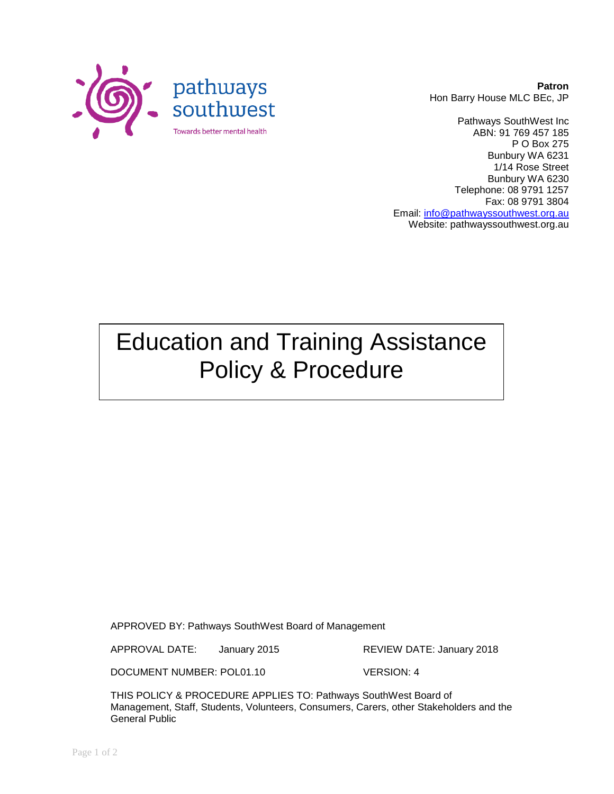

**Patron** Hon Barry House MLC BEc, JP

Pathways SouthWest Inc ABN: 91 769 457 185 P O Box 275 Bunbury WA 6231 1/14 Rose Street Bunbury WA 6230 Telephone: 08 9791 1257 Fax: 08 9791 3804 Email: [info@pathwayssouthwest.org.au](mailto:info@pathwayssouthwest.org.au) Website: pathwayssouthwest.org.au

# Education and Training Assistance Policy & Procedure

APPROVED BY: Pathways SouthWest Board of Management

APPROVAL DATE: January 2015 REVIEW DATE: January 2018

DOCUMENT NUMBER: POL01.10 VERSION: 4

THIS POLICY & PROCEDURE APPLIES TO: Pathways SouthWest Board of Management, Staff, Students, Volunteers, Consumers, Carers, other Stakeholders and the General Public